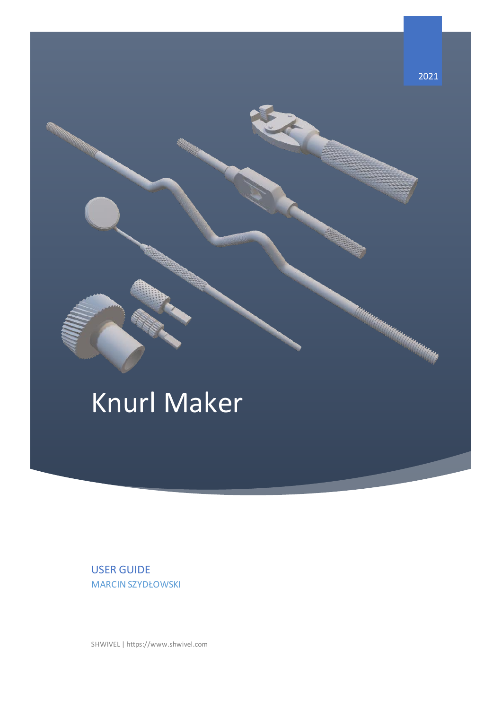

USER GUIDE MARCIN SZYDŁOWSKI

SHWIVEL | https://www.shwivel.com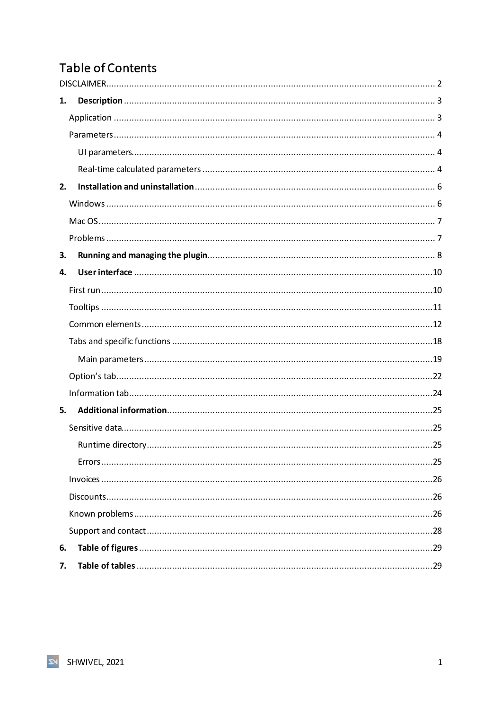# Table of Contents

| 1. |  |
|----|--|
|    |  |
|    |  |
|    |  |
|    |  |
| 2. |  |
|    |  |
|    |  |
|    |  |
| 3. |  |
| 4. |  |
|    |  |
|    |  |
|    |  |
|    |  |
|    |  |
|    |  |
|    |  |
| 5. |  |
|    |  |
|    |  |
|    |  |
|    |  |
|    |  |
|    |  |
|    |  |
| 6. |  |
| 7. |  |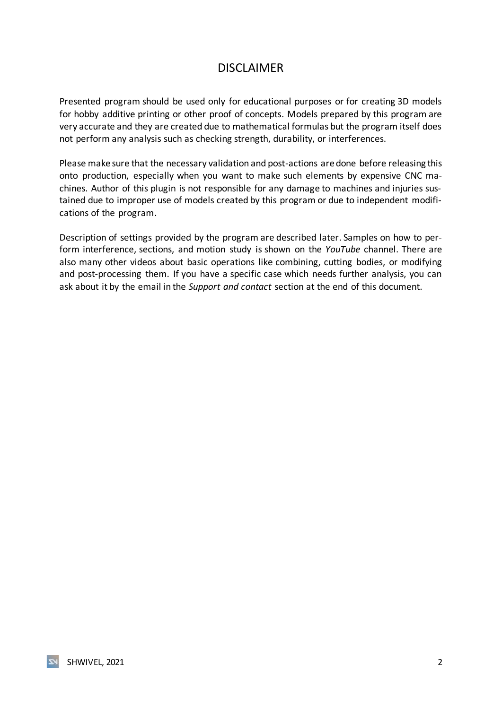## DISCLAIMER

<span id="page-2-0"></span>Presented program should be used only for educational purposes or for creating 3D models for hobby additive printing or other proof of concepts. Models prepared by this program are very accurate and they are created due to mathematical formulas but the program itself does not perform any analysis such as checking strength, durability, or interferences.

Please make sure that the necessary validation and post-actions are done before releasing this onto production, especially when you want to make such elements by expensive CNC machines. Author of this plugin is not responsible for any damage to machines and injuries sustained due to improper use of models created by this program or due to independent modifications of the program.

Description of settings provided by the program are described later. Samples on how to perform interference, sections, and motion study is shown on the *YouTube* channel. There are also many other videos about basic operations like combining, cutting bodies, or modifying and post-processing them. If you have a specific case which needs further analysis, you can ask about it by the email in the *Support and contact* section at the end of this document.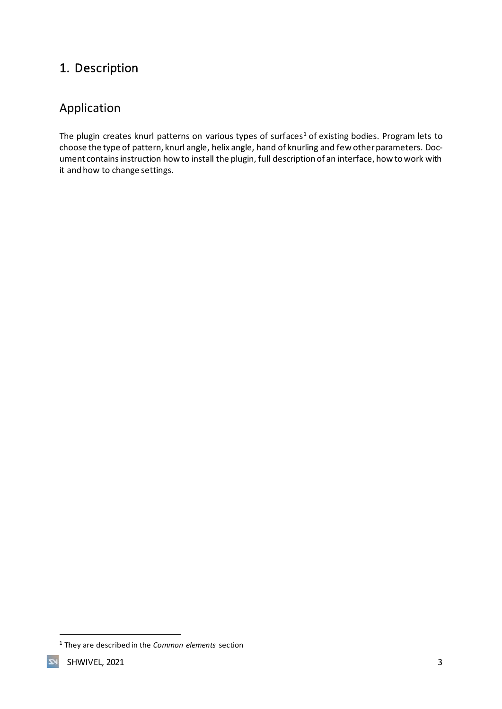## <span id="page-3-0"></span>1. Description

## <span id="page-3-1"></span>Application

The plugin creates knurl patterns on various types of surfaces<sup>1</sup> of existing bodies. Program lets to choose the type of pattern, knurl angle, helix angle, hand of knurling and few other parameters. Document contains instruction how to install the plugin, full description of an interface, how to work with it and how to change settings.

 $\overline{\mathbf{z}}$ 

<sup>1</sup> They are described in the *[Common](#page-12-0) elements* section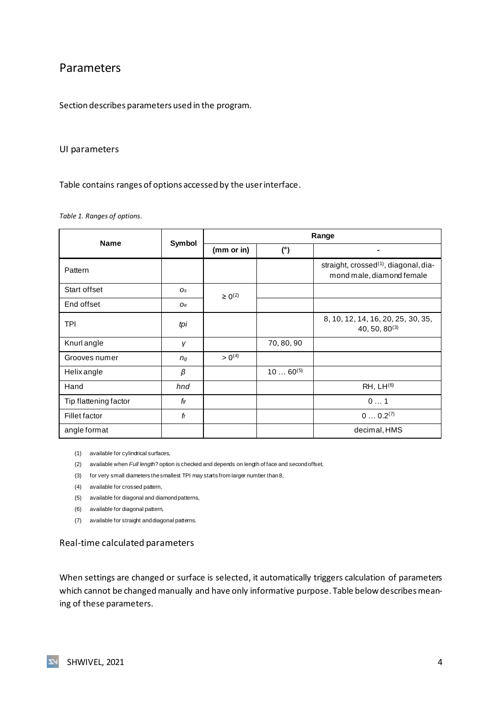### <span id="page-4-0"></span>Parameters

Section describes parameters used in the program.

#### <span id="page-4-1"></span>UI parameters

Table contains ranges of options accessed by the user interface.

#### <span id="page-4-3"></span>*Table 1. Ranges of options.*

| <b>Name</b>           | Symbol         | Range          |              |                                                                                |  |
|-----------------------|----------------|----------------|--------------|--------------------------------------------------------------------------------|--|
|                       |                | (mm or in)     | (°)          | $\blacksquare$                                                                 |  |
| Pattern               |                |                |              | straight, crossed <sup>(1)</sup> , diagonal, dia-<br>mond male, diamond female |  |
| Start offset          | Os             | $\geq 0^{(2)}$ |              |                                                                                |  |
| End offset            | <b>Oe</b>      |                |              |                                                                                |  |
| <b>TPI</b>            | tpi            |                |              | 8, 10, 12, 14, 16, 20, 25, 30, 35,<br>$40, 50, 80^{(3)}$                       |  |
| Knurl angle           | γ              |                | 70, 80, 90   |                                                                                |  |
| Grooves numer         | n <sub>g</sub> | $> 0^{(4)}$    |              |                                                                                |  |
| Helix angle           | β              |                | $1060^{(5)}$ |                                                                                |  |
| Hand                  | hnd            |                |              | $RH, LH^{(6)}$                                                                 |  |
| Tip flattening factor | ftf            |                |              | 01                                                                             |  |
| Fillet factor         | ff             |                |              | $0 0.2^{(7)}$                                                                  |  |
| angle format          |                |                |              | decimal, HMS                                                                   |  |

(1) available for cylindrical surfaces,

(2) available when *Full length?* option is checked and depends on length of face and second offset,

(3) for very small diameters the smallest TPI may starts from larger number than8,

(4) available for crossed pattern,

(5) available for diagonal and diamond patterns,

(6) available for diagonal pattern,

(7) available for straight and diagonal patterns.

#### <span id="page-4-2"></span>Real-time calculated parameters

When settings are changed or surface is selected, it automatically triggers calculation of parameters which cannot be changed manually and have only informative purpose. Table below describes meaning of these parameters.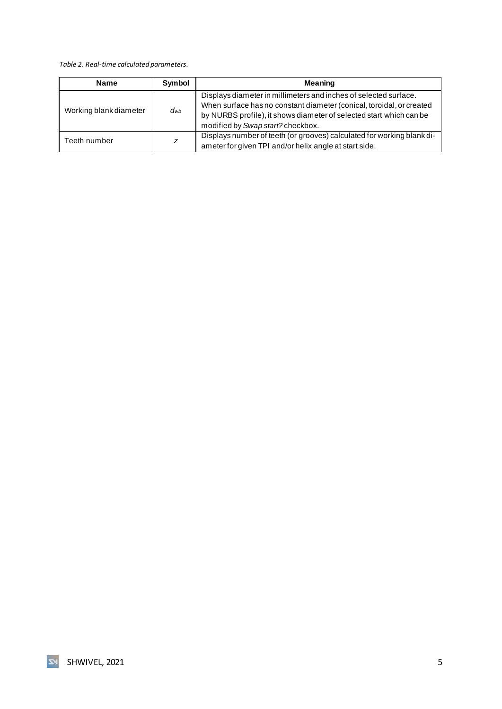#### <span id="page-5-0"></span>*Table 2. Real-time calculated parameters.*

| <b>Name</b>            | Symbol   | <b>Meaning</b>                                                                                                                                                                                                                                       |
|------------------------|----------|------------------------------------------------------------------------------------------------------------------------------------------------------------------------------------------------------------------------------------------------------|
| Working blank diameter | $d_{Wb}$ | Displays diameter in millimeters and inches of selected surface.<br>When surface has no constant diameter (conical, toroidal, or created<br>by NURBS profile), it shows diameter of selected start which can be<br>modified by Swap start? checkbox. |
| Teeth number           | z        | Displays number of teeth (or grooves) calculated for working blank di-<br>ameter for given TPI and/or helix angle at start side.                                                                                                                     |

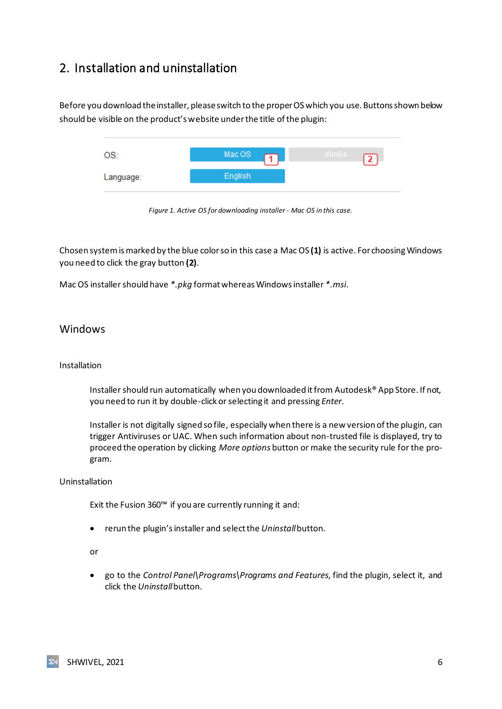## <span id="page-6-0"></span>2. Installation and uninstallation

Before you download the installer, please switch to the proper OS which you use. Buttons shown below should be visible on the product's website under the title of the plugin:



*Figure 1. Active OS for downloading installer - Mac OS in this case.*

Chosen system is marked by the blue color so in this case a Mac OS **(1)** is active. For choosing Windows you need to click the gray button **(2)**.

Mac OS installer should have *\*.pkg* format whereas Windows installer *\*.msi*.

#### <span id="page-6-1"></span>**Windows**

#### Installation

Installer should run automatically when you downloaded it from Autodesk® App Store. If not, you need to run it by double-click or selecting it and pressing *Enter*.

Installer is not digitally signed so file, especially when there is a new version of the plugin, can trigger Antiviruses or UAC. When such information about non-trusted file is displayed, try to proceed the operation by clicking *More options* button or make the security rule for the program.

#### Uninstallation

Exit the Fusion 360™ if you are currently running it and:

• rerun the plugin's installer and select the *Uninstall*button.

or

• go to the *Control Panel\Programs\Programs and Features*, find the plugin, select it, and click the *Uninstall* button.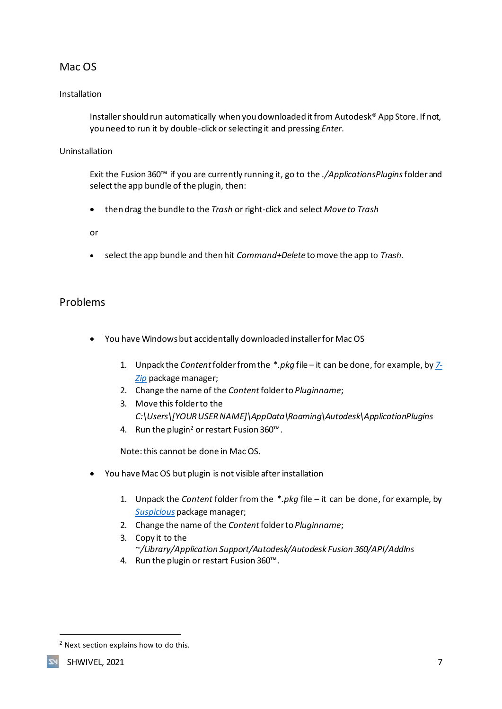## <span id="page-7-0"></span>Mac OS

#### Installation

Installer should run automatically when you downloaded it from Autodesk® App Store. If not, you need to run it by double-click or selecting it and pressing *Enter*.

#### Uninstallation

Exit the Fusion 360™ if you are currently running it, go to the *./ApplicationsPlugins*folder and select the app bundle of the plugin, then:

• then drag the bundle to the *Trash* or right-click and select *Move to Trash*

or

• select the app bundle and then hit *Command+Delete* to move the app to *Trash*.

#### <span id="page-7-1"></span>Problems

- You have Windows but accidentally downloaded installer for Mac OS
	- 1. Unpack the *Content*folder from the *\*.pkg* file it can be done, for example, by *[7-](https://www.7-zip.org/) [Zip](https://www.7-zip.org/)* package manager;
	- 2. Change the name of the *Content* folder to *Pluginname*;
	- 3. Move this folder to the *C:\Users\[YOUR USER NAME]\AppData\Roaming\Autodesk\ApplicationPlugins*
	- 4. Run the plugin<sup>2</sup> or restart Fusion 360™.

Note: this cannot be done in Mac OS.

- You have Mac OS but plugin is not visible after installation
	- 1. Unpack the *Content* folder from the *\*.pkg* file it can be done, for example, by *[Suspicious](https://mothersruin.com/software/SuspiciousPackage/)* package manager;
	- 2. Change the name of the *Content* folder to *Pluginname*;
	- 3. Copy it to the *~/Library/Application Support/Autodesk/Autodesk Fusion 360/API/AddIns*
	- 4. Run the plugin or restart Fusion 360™.

<sup>2</sup> Next section explains how to do this.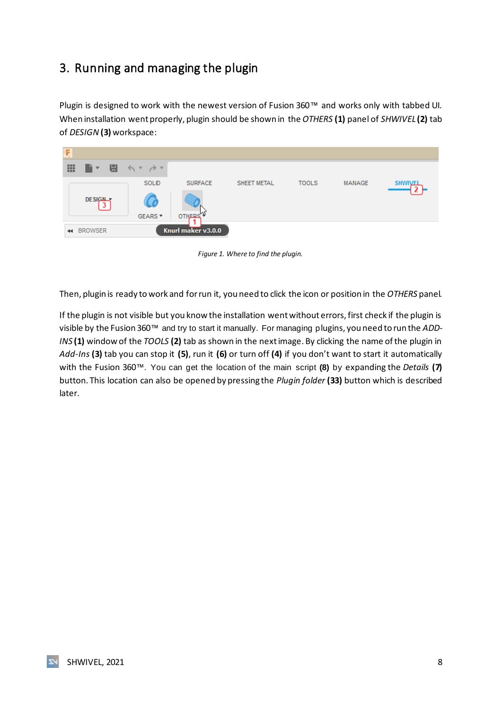## <span id="page-8-0"></span>3. Running and managing the plugin

Plugin is designed to work with the newest version of Fusion 360™ and works only with tabbed UI. When installation went properly, plugin should be shown in the *OTHERS* **(1)** panel of *SHWIVEL* **(2)** tab of *DESIGN***(3)** workspace:

| E |                   |                                                                                                    |                    |             |              |               |                    |
|---|-------------------|----------------------------------------------------------------------------------------------------|--------------------|-------------|--------------|---------------|--------------------|
| 靈 |                   | $\blacksquare$ $\mathbf{v}$ $\blacksquare$ $\preccurlyeq$ $\mathbf{v}$ $\preccurlyeq$ $\mathbf{v}$ |                    |             |              |               |                    |
|   |                   | <b>SOLID</b>                                                                                       | <b>SURFACE</b>     | SHEET METAL | <b>TOOLS</b> | <b>MANAGE</b> | <b>SHW</b><br>'WE. |
|   | <b>DESIGN</b>     | GEARS <sup>*</sup>                                                                                 | <b>OTHERS</b>      |             |              |               |                    |
|   | <b>44 BROWSER</b> |                                                                                                    | Knurl maker v3.0.0 |             |              |               |                    |

*Figure 1. Where to find the plugin.*

<span id="page-8-1"></span>Then, plugin is ready to work and for run it, you need to click the icon or position in the *OTHERS* panel.

If the plugin is not visible but you know the installation went without errors, first check if the plugin is visible by the Fusion 360™ and try to start it manually. For managing plugins, you need to run the *ADD-INS* **(1)** window of the *TOOLS* **(2)** tab as shown in the next image. By clicking the name of the plugin in *Add-Ins* **(3)** tab you can stop it **(5)**, run it **(6)** or turn off **(4)** if you don't want to start it automatically with the Fusion 360™. You can get the location of the main script **(8)** by expanding the *Details* **(7)** button. This location can also be opened by pressing the *Plugin folder* **(33)** button which is described later.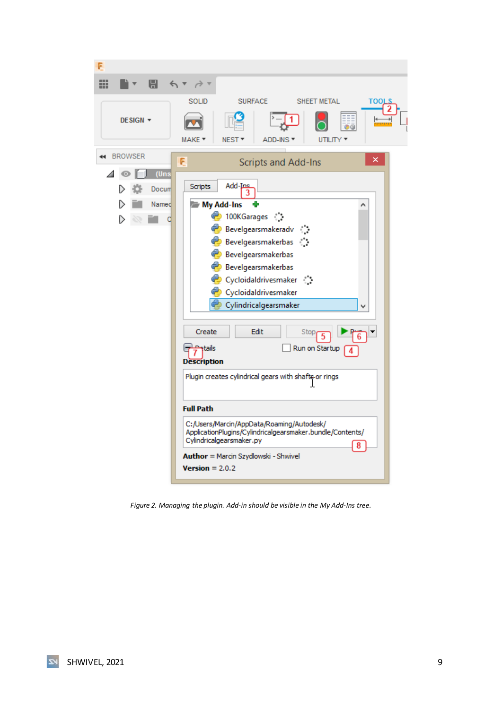| F                                                         |                                                                                                                                                                                                                                                                                                                                                                                                                                                                                                                                                                                                                         |
|-----------------------------------------------------------|-------------------------------------------------------------------------------------------------------------------------------------------------------------------------------------------------------------------------------------------------------------------------------------------------------------------------------------------------------------------------------------------------------------------------------------------------------------------------------------------------------------------------------------------------------------------------------------------------------------------------|
| ₩<br>$\blacksquare$                                       |                                                                                                                                                                                                                                                                                                                                                                                                                                                                                                                                                                                                                         |
| DESIGN <b>v</b><br><b>BROWSER</b><br>$\blacktriangleleft$ | SOLID<br><b>SURFACE</b><br>SHEET METAL<br>TOOLS<br>MAKE ▼<br>NEST <sup>*</sup><br>ADD-INS T<br>UTILITY <b>*</b><br>×                                                                                                                                                                                                                                                                                                                                                                                                                                                                                                    |
| (Uns<br>Docum<br>Named<br>O                               | F<br><b>Scripts and Add-Ins</b><br>Add-Ins<br>Scripts<br>My Add-Ins<br>♦ 100KGarages ़े<br>Bevelgearsmakeradv (<br>Bevelgearsmakerbas (<br>Bevelgearsmakerbas<br>Bevelgearsmakerbas<br>Cycloidaldrivesmaker (<br>Cycloidaldrivesmaker<br>Cylindricalgearsmaker<br>v<br>Edit<br>Create<br>Stop<br><b>Patails</b><br>Run on Startup<br><b>Description</b><br>Plugin creates cylindrical gears with shafts or rings<br><b>Full Path</b><br>C:/Users/Marcin/AppData/Roaming/Autodesk/<br>ApplicationPlugins/Cylindricalgearsmaker.bundle/Contents/<br>Cylindricalgearsmaker.py<br>8<br>Author = Marcin Szydlowski - Shwivel |
|                                                           | $Version = 2.0.2$                                                                                                                                                                                                                                                                                                                                                                                                                                                                                                                                                                                                       |

<span id="page-9-0"></span>*Figure 2. Managing the plugin. Add-in should be visible in the My Add-Ins tree.*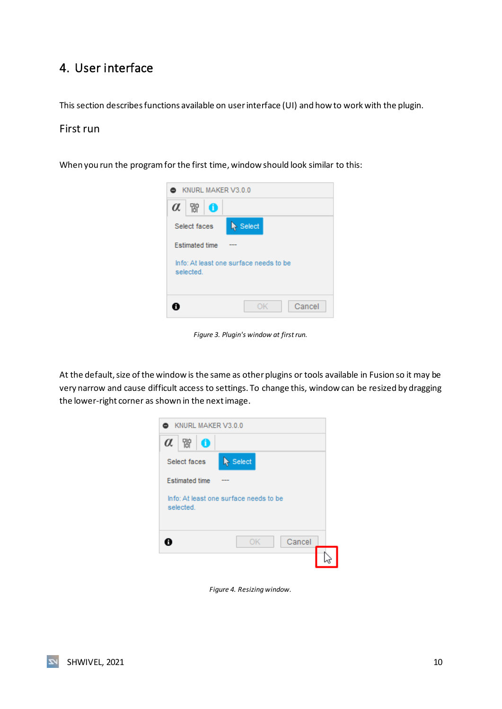## <span id="page-10-0"></span>4. User interface

This section describes functions available on user interface (UI) and how to work with the plugin.

#### <span id="page-10-1"></span>First run

When you run the program for the first time, window should look similar to this:



*Figure 3. Plugin's window at first run.*

<span id="page-10-2"></span>At the default, size of the window is the same as other plugins or tools available in Fusion so it may be very narrow and cause difficult access to settings. To change this, window can be resized by dragging the lower-right corner as shown in the next image.



*Figure 4. Resizing window.*

<span id="page-10-3"></span>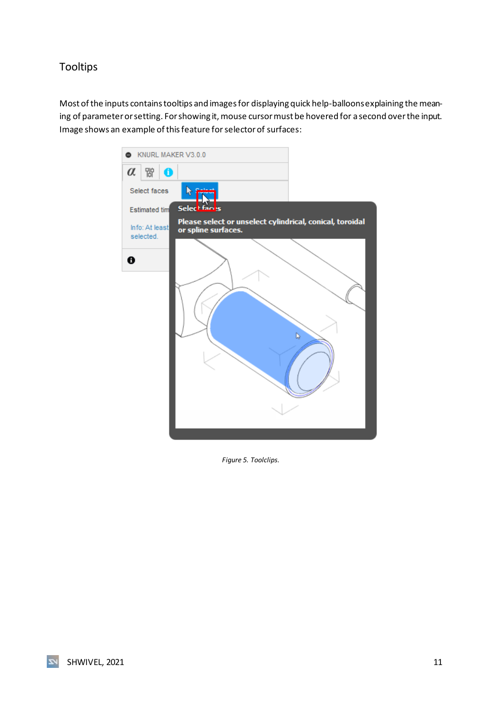## <span id="page-11-0"></span>Tooltips

Most of the inputs contains tooltips and images for displaying quick help-balloonsexplaining the meaning of parameter or setting. For showing it, mouse cursor must be hovered for a second over the input. Image shows an example of this feature for selector of surfaces:



<span id="page-11-1"></span>*Figure 5. Toolclips.*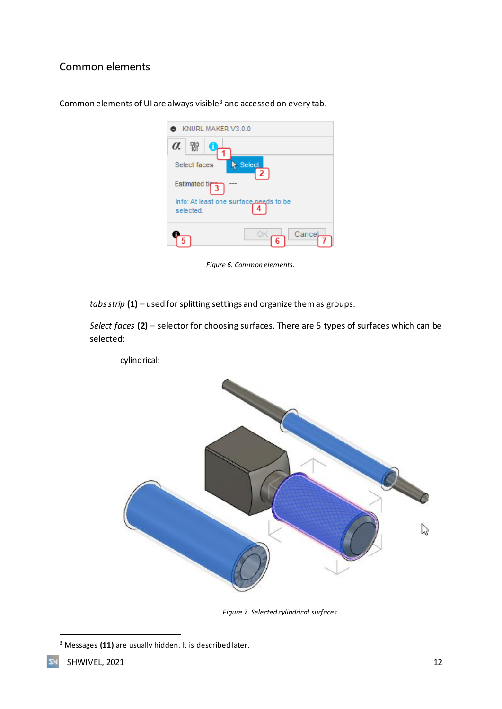## <span id="page-12-0"></span>Common elements

| Common elements of UI are always visible <sup>3</sup> and accessed on every tab. |  |
|----------------------------------------------------------------------------------|--|
|----------------------------------------------------------------------------------|--|

| KNURL MAKER V3.0.0                                  |
|-----------------------------------------------------|
| 먮<br>$\alpha$                                       |
| Select<br>Select faces<br>$\mathbf{2}$              |
| <b>Estimated tip</b>                                |
| Info: At least one surface needs to be<br>selected. |
| Cance<br>6                                          |

*Figure 6. Common elements.*

<span id="page-12-1"></span>*tabs strip* **(1)** *–* used for splitting settings and organize them as groups.

*Select faces* **(2)** – selector for choosing surfaces. There are 5 types of surfaces which can be selected:

cylindrical:



*Figure 7. Selected cylindrical surfaces.*

<span id="page-12-2"></span><sup>3</sup> Messages **(11)** are usually hidden. It is described later.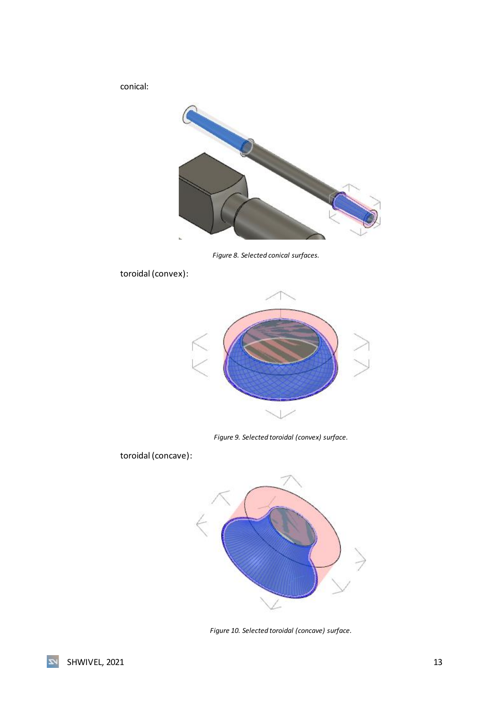conical:



*Figure 8. Selected conical surfaces.*

<span id="page-13-0"></span>toroidal (convex):



*Figure 9. Selected toroidal (convex) surface.*

<span id="page-13-1"></span>toroidal (concave):



<span id="page-13-2"></span>*Figure 10. Selected toroidal (concave) surface.*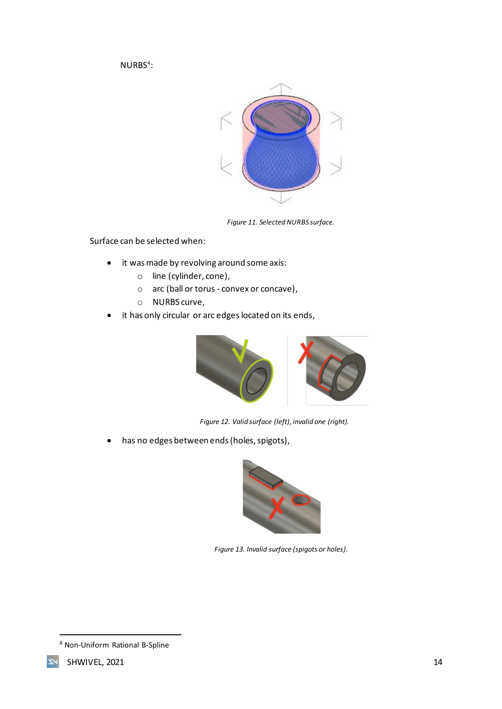$NURBS<sup>4</sup>$ :



*Figure 11. Selected NURBS surface.*

<span id="page-14-0"></span>Surface can be selected when:

- it was made by revolving around some axis:
	- o line (cylinder, cone),
	- o arc (ball or torus convex or concave),
	- o NURBS curve,
- it has only circular or arc edges located on its ends,



*Figure 12. Valid surface (left), invalid one (right).*

<span id="page-14-1"></span>• has no edges between ends (holes, spigots),



*Figure 13. Invalid surface (spigots or holes).*

<span id="page-14-2"></span><sup>4</sup> Non-Uniform Rational B-Spline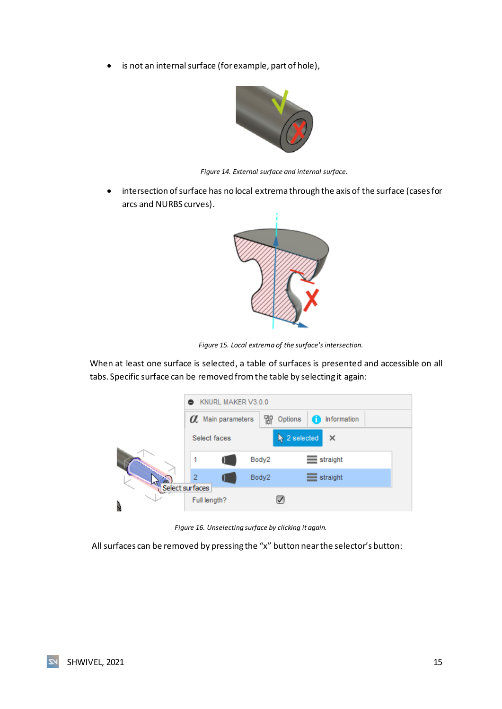• is not an internal surface (for example, part of hole),



*Figure 14. External surface and internal surface.*

<span id="page-15-0"></span>• intersection of surface has no local extrema through the axis of the surface (cases for arcs and NURBS curves).



*Figure 15. Local extrema of the surface's intersection.*

<span id="page-15-1"></span>When at least one surface is selected, a table of surfaces is presented and accessible on all tabs. Specific surface can be removed from the table by selecting it again:

|   |                                 | KNURL MAKER V3.0.0              |              |                                                           |             |  |
|---|---------------------------------|---------------------------------|--------------|-----------------------------------------------------------|-------------|--|
|   |                                 | <b><i>O</i></b> Main parameters | 朌<br>Options |                                                           | Information |  |
|   | Select faces                    |                                 |              | $\blacktriangleright$ 2 selected<br>$\boldsymbol{\times}$ |             |  |
|   | 1                               |                                 | Body2        | straight                                                  |             |  |
|   | 2                               |                                 | Body2        | straight                                                  |             |  |
| N | Select surfaces<br>Full length? |                                 |              |                                                           |             |  |

*Figure 16. Unselecting surface by clicking it again.*

<span id="page-15-2"></span>All surfaces can be removed by pressing the "x" button near the selector's button: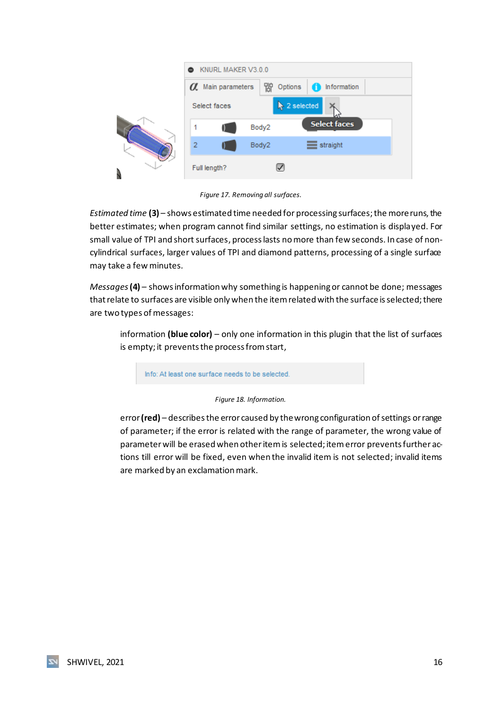| KNURL MAKER V3.0.0              |              |                                  |          |
|---------------------------------|--------------|----------------------------------|----------|
| <b><i>O</i></b> Main parameters | 먮<br>Options | Information                      |          |
| Select faces                    |              | $\blacktriangleright$ 2 selected | straight |
| 1                               | Body2        | <b>Select faces</b>              |          |
| $\overline{2}$                  | Body2        |                                  |          |
| Full length?                    |              |                                  |          |

*Figure 17. Removing all surfaces.*

<span id="page-16-0"></span>*Estimated time* **(3)** – shows estimated time needed for processing surfaces; the more runs, the better estimates; when program cannot find similar settings, no estimation is displayed. For small value of TPI and short surfaces, process lasts no more than few seconds. In case of noncylindrical surfaces, larger values of TPI and diamond patterns, processing of a single surface may take a few minutes.

*Messages***(4)** *–* shows information why something is happening or cannot be done; messages that relate to surfaces are visible only when the item related with the surface is selected; there are two types of messages:

information **(blue color)** – only one information in this plugin that the list of surfaces is empty; it prevents the process from start,

Info: At least one surface needs to be selected

*Figure 18. Information.*

<span id="page-16-1"></span>error**(red)** – describes the error caused by the wrong configuration of settings or range of parameter; if the error is related with the range of parameter, the wrong value of parameter will be erased when other item is selected; item error prevents further actions till error will be fixed, even when the invalid item is not selected; invalid items are marked by an exclamation mark.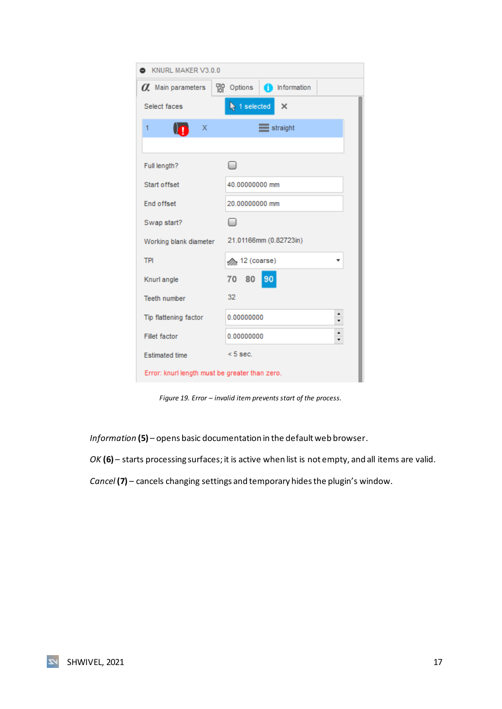| KNURL MAKER V3.0.0                             |                                              |  |  |  |
|------------------------------------------------|----------------------------------------------|--|--|--|
| a Main parameters                              | 0ptions<br>nformation                        |  |  |  |
| Select faces                                   | $\blacktriangleright$ 1 selected<br>$\times$ |  |  |  |
| х<br>1                                         | $\equiv$ straight                            |  |  |  |
|                                                |                                              |  |  |  |
| Full length?                                   | $\overline{\phantom{0}}$                     |  |  |  |
| Start offset                                   | 40.00000000 mm                               |  |  |  |
| <b>End offset</b>                              | 20.00000000 mm                               |  |  |  |
| Swap start?                                    | □                                            |  |  |  |
| Working blank diameter                         | 21.01166mm (0.82723in)                       |  |  |  |
| <b>TPI</b>                                     | smay 12 (coarse)                             |  |  |  |
| Knurl angle                                    | 80<br>90<br>70                               |  |  |  |
| <b>Teeth number</b>                            | 32                                           |  |  |  |
| Tip flattening factor                          | 0.00000000                                   |  |  |  |
| <b>Fillet factor</b>                           | ۰<br>0.00000000                              |  |  |  |
| <b>Estimated time</b>                          | $< 5$ sec.                                   |  |  |  |
| Error: knurl length must be greater than zero. |                                              |  |  |  |

*Figure 19. Error – invalid item prevents start of the process.*

<span id="page-17-0"></span>*Information* **(5)** – opens basic documentation in the default web browser.

*OK* **(6)** – starts processing surfaces; it is active when list is not empty, and all items are valid.

*Cancel* **(7)** *–* cancels changing settings and temporary hides the plugin's window.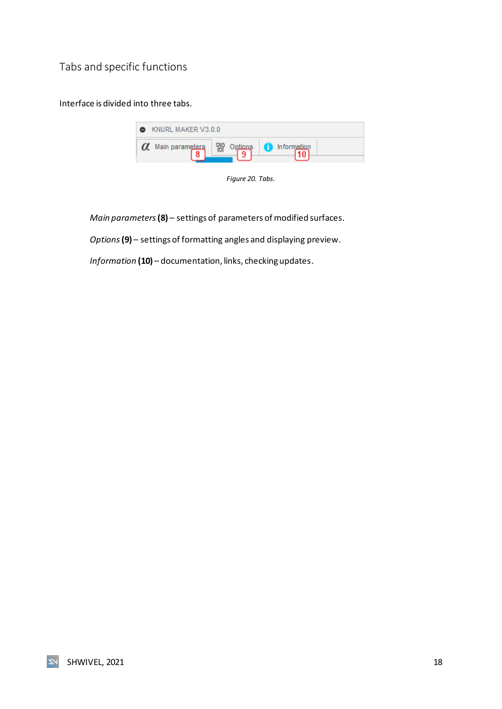<span id="page-18-0"></span>Tabs and specific functions

Interface is divided into three tabs.

| KNURL MAKER V3.0.0              |  |                  |  |  |
|---------------------------------|--|------------------|--|--|
| <b><i>O</i></b> Main parameters |  | Information<br>o |  |  |

*Figure 20. Tabs.*

<span id="page-18-1"></span>*Main parameters***(8)** – settings of parameters of modified surfaces.

*Options***(9)** – settings of formatting angles and displaying preview.

*Information* **(10)** – documentation, links, checking updates.

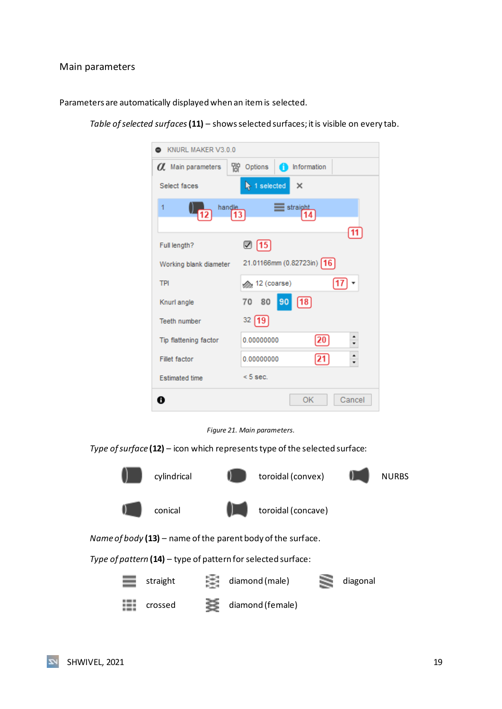#### <span id="page-19-0"></span>Main parameters

Parameters are automatically displayed when an item is selected.

KNURL MAKER V3.0.0 *O* Main parameters Options Information Select faces  $\blacktriangleright$  1 selected  $\times$ D Straight  $\overline{1}$ handle 12 13 14 11  $\boxtimes$  15 Full length? 21.01166mm (0.82723in) 16 Working blank diameter **TPI** 17 set 12 (coarse) 80 90 70  $\boxed{18}$ Knurl angle  $32 [19]$ Teeth number  $\hat{\phantom{a}}$ 0.00000000  $\boxed{20}$ Tip flattening factor  $\cdot$  $\hat{\phantom{a}}$  $\sqrt{21}$ Fillet factor 0.00000000  $< 5$  sec. **Estimated time**  $\bullet$ OK Cancel

*Table of selected surfaces***(11)** – shows selected surfaces; it is visible on every tab.

*Figure 21. Main parameters.*

<span id="page-19-1"></span>*Type of surface* **(12)** – icon which represents type of the selected surface: cylindrical  $\begin{pmatrix} 1 & 1 \\ 1 & 1 \end{pmatrix}$  toroidal (convex)  $\begin{pmatrix} 1 & 1 \\ 1 & 1 \end{pmatrix}$  NURBS conical  $\begin{array}{|c|c|c|}\n\hline\n\end{array}$  toroidal (concave) *Name of body* **(13)** – name of the parent body of the surface.

*Type of pattern* **(14)** – type of pattern for selected surface:

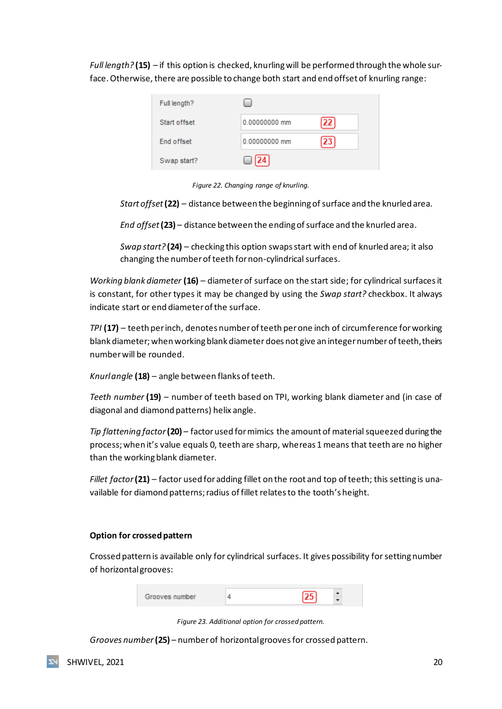*Full length?* **(15)** *–* if this option is checked, knurling will be performed through the whole surface. Otherwise, there are possible to change both start and end offset of knurling range:

| Full length? |               |    |
|--------------|---------------|----|
| Start offset | 0.00000000 mm | 22 |
| End offset   | 0.00000000 mm | 23 |
| Swap start?  |               |    |

*Figure 22. Changing range of knurling.*

<span id="page-20-0"></span>*Start offset* (22) – distance between the beginning of surface and the knurled area.

*End offset***(23)** *–* distance between the ending of surface and the knurled area.

*Swap start?* **(24)** *–* checking this option swaps start with end of knurled area; it also changing the number of teeth for non-cylindrical surfaces.

*Working blank diameter* **(16)** *–* diameter of surface on the start side; for cylindrical surfaces it is constant, for other types it may be changed by using the *Swap start?* checkbox. It always indicate start or end diameter of the surface.

*TPI* **(17)** *–* teeth per inch, denotes number of teeth per one inch of circumference for working blank diameter; when working blank diameter does not give an integer number of teeth, theirs number will be rounded.

*Knurl angle* **(18)** *–* angle between flanks of teeth.

*Teeth number* **(19)** *–* number of teeth based on TPI, working blank diameter and (in case of diagonal and diamond patterns) helix angle.

*Tip flattening factor***(20)** *–* factor used for mimics the amount of material squeezed during the process; when it's value equals 0, teeth are sharp, whereas 1 means that teeth are no higher than the working blank diameter.

*Fillet factor* **(21)** *–* factor used for adding fillet on the root and top of teeth; this setting is unavailable for diamond patterns; radius of fillet relates to the tooth's height.

#### **Option for crossed pattern**

Crossed pattern is available only for cylindrical surfaces. It gives possibility for setting number of horizontal grooves:

| Grooves number |  | $\sqrt{25}$ |  |
|----------------|--|-------------|--|
|----------------|--|-------------|--|

*Figure 23. Additional option for crossed pattern.*

<span id="page-20-1"></span>*Grooves number* **(25)** *–* number of horizontal grooves for crossed pattern.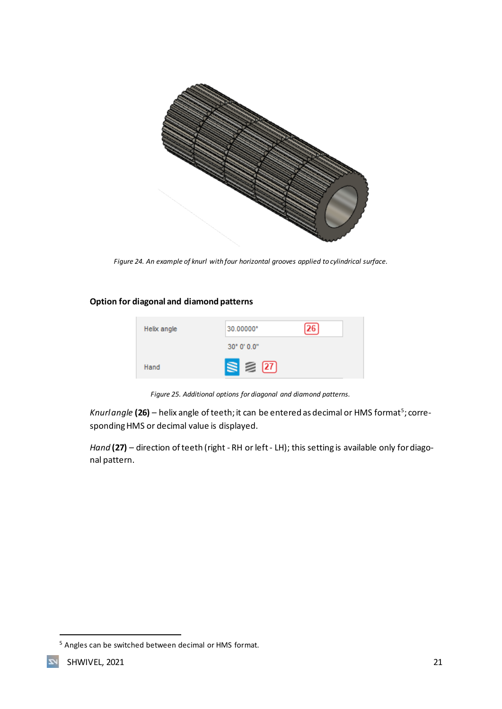

*Figure 24. An example of knurl with four horizontal grooves applied to cylindrical surface.*

#### <span id="page-21-0"></span>**Option for diagonal and diamond patterns**



*Figure 25. Additional options for diagonal and diamond patterns.*

<span id="page-21-1"></span>*Knurl angle* **(26) –** helix angle of teeth; it can be entered as decimal or HMS format<sup>s</sup>; corresponding HMS or decimal value is displayed.

*Hand* **(27)** *–* direction of teeth (right - RH or left- LH); this setting is available only for diagonal pattern.

<sup>5</sup> Angles can be switched between decimal or HMS format.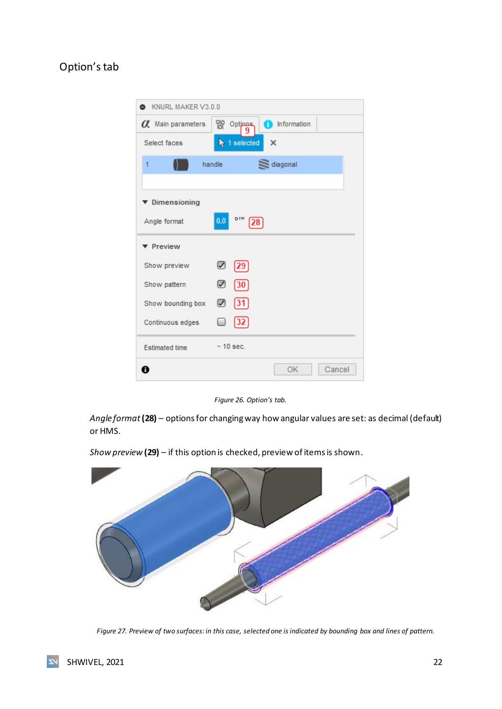## <span id="page-22-0"></span>Option's tab



*Figure 26. Option's tab.*

<span id="page-22-1"></span>*Angle format* **(28)** – options for changing way how angular values are set: as decimal (default) or HMS.



*Show preview* **(29)** – if this option is checked, preview of items is shown.

<span id="page-22-2"></span>*Figure 27. Preview of two surfaces: in this case, selected one is indicated by bounding box and lines of pattern.*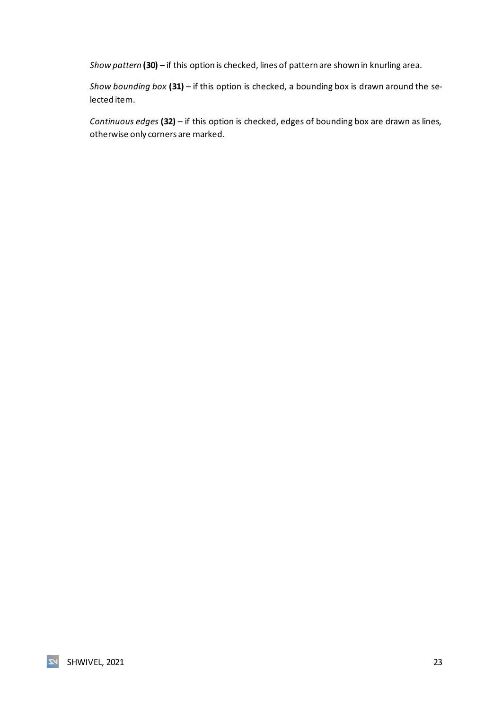*Show pattern* **(30)** – if this option is checked, lines of pattern are shown in knurling area.

*Show bounding box* **(31)** – if this option is checked, a bounding box is drawn around the selected item.

*Continuous edges* **(32)** – if this option is checked, edges of bounding box are drawn as lines, otherwise only corners are marked.

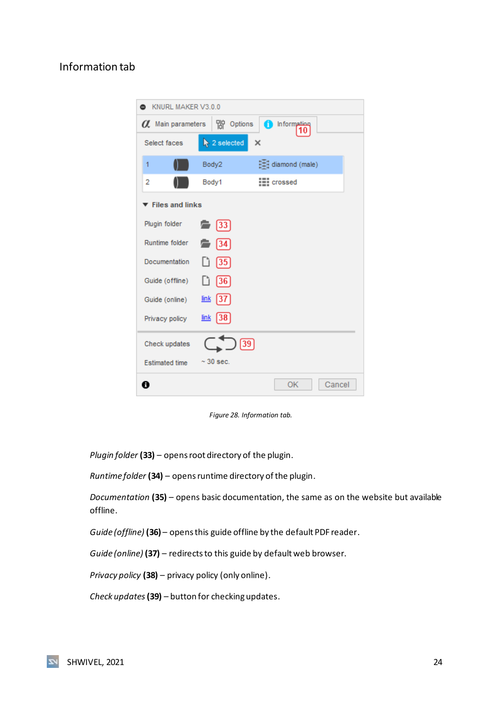### <span id="page-24-0"></span>Information tab

| KNURL MAKER V3.0.0       |                                  |                    |        |  |
|--------------------------|----------------------------------|--------------------|--------|--|
| $\alpha$ Main parameters | Options                          | nformation<br>10   |        |  |
| Select faces             | $\blacktriangleright$ 2 selected | $\times$           |        |  |
| 1                        | Body2                            | diamond (male)     |        |  |
| 2                        | Body1                            | <b>III</b> crossed |        |  |
| <b>Files and links</b>   |                                  |                    |        |  |
| Plugin folder            | $\binom{2}{3}$                   |                    |        |  |
| Runtime folder           | 134                              |                    |        |  |
| Documentation            | Lì<br> 35                        |                    |        |  |
| Guide (offline)          | [36]<br>Lì                       |                    |        |  |
| Guide (online)           | <u>link</u><br>137               |                    |        |  |
| Privacy policy           | <u>link</u><br> 38               |                    |        |  |
| Check updates            |                                  | 39                 |        |  |
| <b>Estimated time</b>    | $\sim$ 30 sec.                   |                    |        |  |
| A                        |                                  | ОK                 | Cancel |  |

*Figure 28. Information tab.*

<span id="page-24-1"></span>*Plugin folder* **(33)** – opens root directory of the plugin.

*Runtime folder* **(34)** – opens runtime directory of the plugin.

*Documentation* **(35)** – opens basic documentation, the same as on the website but available offline.

*Guide (offline)* **(36)** – opens this guide offline by the default PDF reader.

*Guide (online)* **(37)** – redirects to this guide by default web browser.

*Privacy policy* **(38)** – privacy policy (only online).

*Check updates* **(39)** – button for checking updates.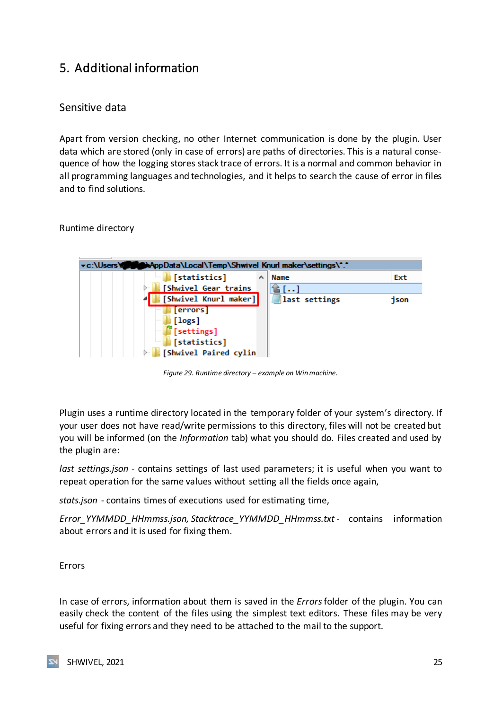## <span id="page-25-0"></span>5. Additional information

### <span id="page-25-1"></span>Sensitive data

Apart from version checking, no other Internet communication is done by the plugin. User data which are stored (only in case of errors) are paths of directories. This is a natural consequence of how the logging stores stack trace of errors. It is a normal and common behavior in all programming languages and technologies, and it helps to search the cause of error in files and to find solutions.

<span id="page-25-2"></span>Runtime directory



*Figure 29. Runtime directory – example on Win machine.*

<span id="page-25-4"></span>Plugin uses a runtime directory located in the temporary folder of your system's directory. If your user does not have read/write permissions to this directory, files will not be created but you will be informed (on the *Information* tab) what you should do. Files created and used by the plugin are:

*last settings.json* - contains settings of last used parameters; it is useful when you want to repeat operation for the same values without setting all the fields once again,

*stats.json* - contains times of executions used for estimating time,

*Error\_YYMMDD\_HHmmss.json, Stacktrace\_YYMMDD\_HHmmss.txt* - contains information about errors and it is used for fixing them.

<span id="page-25-3"></span>Errors

In case of errors, information about them is saved in the *Errors*folder of the plugin. You can easily check the content of the files using the simplest text editors. These files may be very useful for fixing errors and they need to be attached to the mail to the support.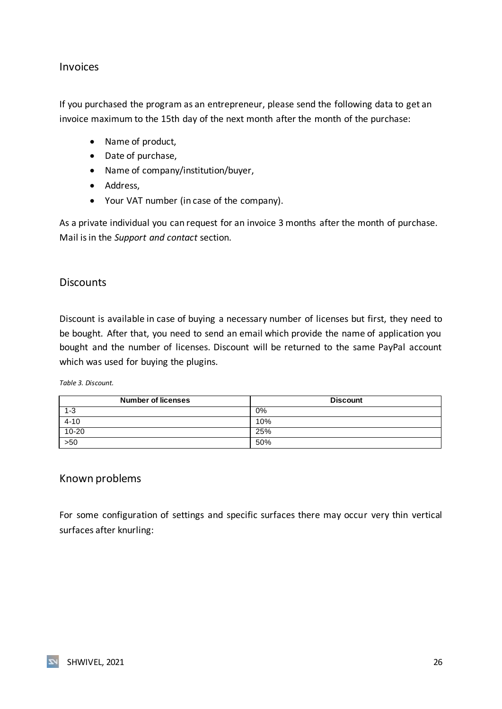### <span id="page-26-0"></span>Invoices

If you purchased the program as an entrepreneur, please send the following data to get an invoice maximum to the 15th day of the next month after the month of the purchase:

- Name of product,
- Date of purchase,
- Name of company/institution/buyer,
- Address,
- Your VAT number (in case of the company).

As a private individual you can request for an invoice 3 months after the month of purchase. Mail is in the *Support and contact* section.

### <span id="page-26-1"></span>**Discounts**

Discount is available in case of buying a necessary number of licenses but first, they need to be bought. After that, you need to send an email which provide the name of application you bought and the number of licenses. Discount will be returned to the same PayPal account which was used for buying the plugins.

<span id="page-26-3"></span>*Table 3. Discount.*

| <b>Number of licenses</b> | <b>Discount</b> |
|---------------------------|-----------------|
| $1 - 3$                   | 0%              |
| $4 - 10$                  | 10%             |
| $10 - 20$                 | 25%             |
| 550                       | 50%             |

### <span id="page-26-2"></span>Known problems

For some configuration of settings and specific surfaces there may occur very thin vertical surfaces after knurling: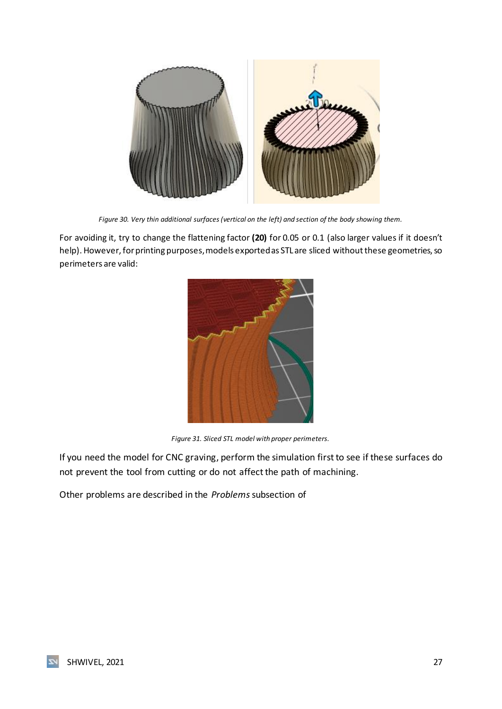

*Figure 30. Very thin additional surfaces (vertical on the left) and section of the body showing them.*

<span id="page-27-0"></span>For avoiding it, try to change the flattening factor **(20)** for 0.05 or 0.1 (also larger values if it doesn't help). However, for printing purposes, models exported as STL are sliced without these geometries, so perimeters are valid:



*Figure 31. Sliced STL model with proper perimeters.*

<span id="page-27-1"></span>If you need the model for CNC graving, perform the simulation first to see if these surfaces do not prevent the tool from cutting or do not affect the path of machining.

Other problems are described in the *Problems*subsection of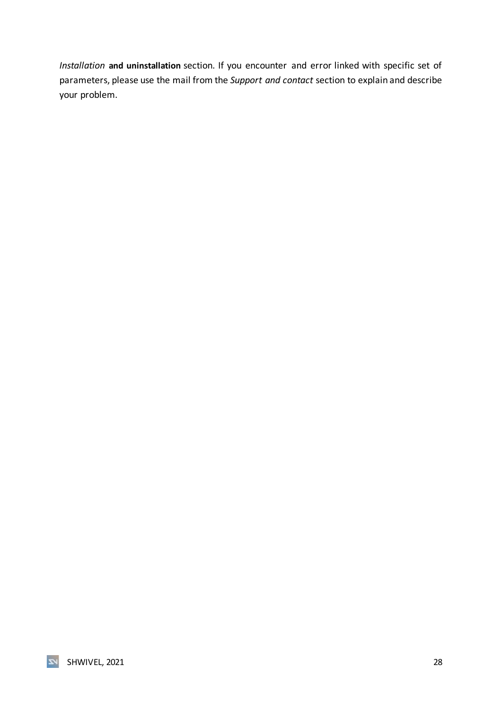*Installation* **and uninstallation** section. If you encounter and error linked with specific set of parameters, please use the mail from the *Support and contact* section to explain and describe your problem.

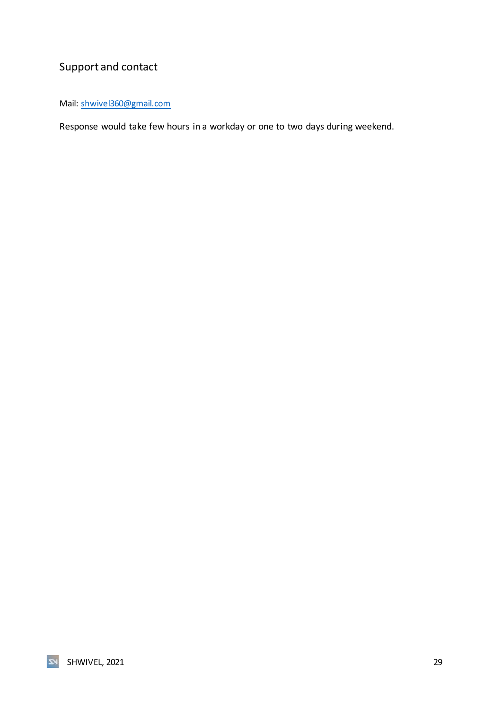## <span id="page-29-0"></span>Support and contact

Mail: [shwivel360@gmail.com](mailto:shwivel360@gmail.com)

Response would take few hours in a workday or one to two days during weekend.